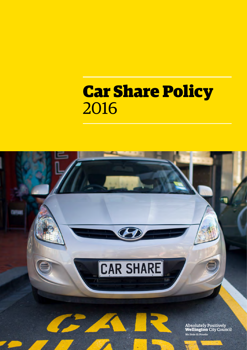# Car Share Policy 2016

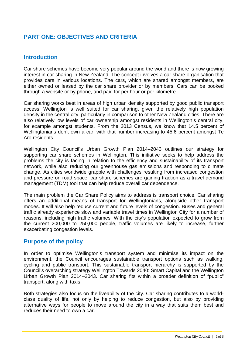# **PART ONE: OBJECTIVES AND CRITERIA**

## **Introduction**

Car share schemes have become very popular around the world and there is now growing interest in car sharing in New Zealand. The concept involves a car share organisation that provides cars in various locations. The cars, which are shared amongst members, are either owned or leased by the car share provider or by members. Cars can be booked through a website or by phone, and paid for per hour or per kilometre.

Car sharing works best in areas of high urban density supported by good public transport access. Wellington is well suited for car sharing, given the relatively high population density in the central city, particularly in comparison to other New Zealand cities. There are also relatively low levels of car ownership amongst residents in Wellington's central city, for example amongst students. From the 2013 Census, we know that 14.5 percent of Wellingtonians don't own a car, with that number increasing to 45.6 percent amongst Te Aro residents.

Wellington City Council's Urban Growth Plan 2014–2043 outlines our strategy for supporting car share schemes in Wellington. This initiative seeks to help address the problems the city is facing in relation to the efficiency and sustainability of its transport network, while also reducing our greenhouse gas emissions and responding to climate change. As cities worldwide grapple with challenges resulting from increased congestion and pressure on road space, car share schemes are gaining traction as a travel demand management (TDM) tool that can help reduce overall car dependence.

The main problem the Car Share Policy aims to address is transport choice. Car sharing offers an additional means of transport for Wellingtonians, alongside other transport modes. It will also help reduce current and future levels of congestion. Buses and general traffic already experience slow and variable travel times in Wellington City for a number of reasons, including high traffic volumes. With the city's population expected to grow from the current 200,000 to 250,000 people, traffic volumes are likely to increase, further exacerbating congestion levels.

#### **Purpose of the policy**

In order to optimise Wellington's transport system and minimise its impact on the environment, the Council encourages sustainable transport options such as walking, cycling and public transport. This sustainable transport hierarchy is supported by the Council's overarching strategy Wellington Towards 2040: Smart Capital and the Wellington Urban Growth Plan 2014–2043. Car sharing fits within a broader definition of "public" transport, along with taxis.

Both strategies also focus on the liveability of the city. Car sharing contributes to a worldclass quality of life, not only by helping to reduce congestion, but also by providing alternative ways for people to move around the city in a way that suits them best and reduces their need to own a car.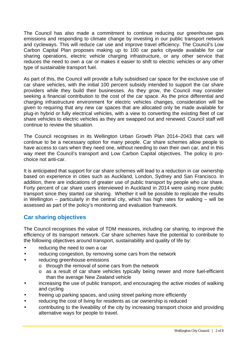The Council has also made a commitment to continue reducing our greenhouse gas emissions and responding to climate change by investing in our public transport network and cycleways. This will reduce car use and improve travel efficiency. The Council's Low Carbon Capital Plan proposes making up to 100 car parks citywide available for car sharing operations, electric vehicle charging infrastructure, or any other service that reduces the need to own a car or makes it easier to shift to electric vehicles or any other type of sustainable transport fuel.

As part of this, the Council will provide a fully subsidised car space for the exclusive use of car share vehicles, with the initial 100 percent subsidy intended to support the car share providers while they build their businesses. As they grow, the Council may consider seeking a financial contribution to the cost of the car space. As the price differential and charging infrastructure environment for electric vehicles changes, consideration will be given to requiring that any new car spaces that are allocated only be made available for plug-in hybrid or fully electrical vehicles, with a view to converting the existing fleet of car share vehicles to electric vehicles as they are swapped out and renewed. Council staff will continue to review the situation.

The Council recognises in its Wellington Urban Growth Plan 2014–2043 that cars will continue to be a necessary option for many people. Car share schemes allow people to have access to cars when they need one, without needing to own their own car, and in this way meet the Council's transport and Low Carbon Capital objectives. The policy is prochoice not anti-car.

It is anticipated that support for car share schemes will lead to a reduction in car ownership based on experience in cities such as Auckland, London, Sydney and San Francisco. In addition, there are indications of greater use of public transport by people who car share. Forty percent of car share users interviewed in Auckland in 2014 were using more public transport since they started car sharing. Whether it will be possible to replicate the results in Wellington – particularly in the central city, which has high rates for walking – will be assessed as part of the policy's monitoring and evaluation framework.

# **Car sharing objectives**

The Council recognises the value of TDM measures, including car sharing, to improve the efficiency of its transport network. Car share schemes have the potential to contribute to the following objectives around transport, sustainability and quality of life by:

- reducing the need to own a car
- reducing congestion, by removing some cars from the network
- reducing greenhouse emissions
	- o through the removal of some cars from the network
	- o as a result of car share vehicles typically being newer and more fuel-efficient than the average New Zealand vehicle
- increasing the use of public transport, and encouraging the active modes of walking and cycling
- freeing up parking spaces, and using street parking more efficiently
- reducing the cost of living for residents as car ownership is reduced
- contributing to the liveability of the city by increasing transport choice and providing alternative ways for people to travel.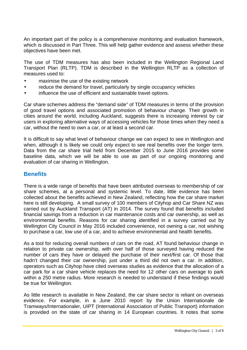An important part of the policy is a comprehensive monitoring and evaluation framework, which is discussed in Part Three. This will help gather evidence and assess whether these objectives have been met.

The use of TDM measures has also been included in the Wellington Regional Land Transport Plan (RLTP). TDM is described in the Wellington RLTP as a collection of measures used to:

- maximise the use of the existing network
- reduce the demand for travel, particularly by single occupancy vehicles
- influence the use of efficient and sustainable travel options.

Car share schemes address the "demand side" of TDM measures in terms of the provision of good travel options and associated promotion of behaviour change. Their growth in cities around the world, including Auckland, suggests there is increasing interest by car users in exploring alternative ways of accessing vehicles for those times when they need a car, without the need to own a car, or at least a second car.

It is difficult to say what level of behaviour change we can expect to see in Wellington and when, although it is likely we could only expect to see real benefits over the longer term. Data from the car share trial held from December 2015 to June 2016 provides some baseline data, which we will be able to use as part of our ongoing monitoring and evaluation of car sharing in Wellington.

#### **Benefits**

There is a wide range of benefits that have been attributed overseas to membership of car share schemes, at a personal and systemic level. To date, little evidence has been collected about the benefits achieved in New Zealand, reflecting how the car share market here is still developing. A small survey of 100 members of Cityhop and Car Share NZ was carried out by Auckland Transport (AT) in 2014. The survey found that benefits included financial savings from a reduction in car maintenance costs and car ownership, as well as environmental benefits. Reasons for car sharing identified in a survey carried out by Wellington City Council in May 2016 included convenience, not owning a car, not wishing to purchase a car, low use of a car, and to achieve environmental and health benefits.

As a tool for reducing overall numbers of cars on the road, AT found behaviour change in relation to private car ownership, with over half of those surveyed having reduced the number of cars they have or delayed the purchase of their next/first car. Of those that hadn't changed their car ownership, just under a third did not own a car. In addition, operators such as Cityhop have cited overseas studies as evidence that the allocation of a car park for a car share vehicle replaces the need for 12 other cars on average to park within a 250 metre radius. More research is needed to understand if these findings would be true for Wellington.

As little research is available in New Zealand, the car share sector is reliant on overseas evidence. For example, in a June 2010 report by the Union Internationale de Tramways/Internationaler, UIPT (International Association of Public Transport) information is provided on the state of car sharing in 14 European countries. It notes that some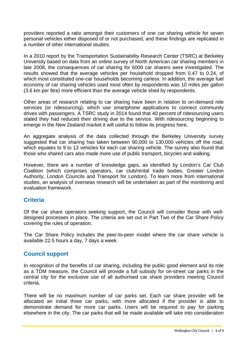providers reported a ratio amongst their customers of one car sharing vehicle for seven personal vehicles either disposed of or not purchased, and these findings are replicated in a number of other international studies.

In a 2010 report by the Transportation Sustainability Research Center (TSRC) at Berkeley University based on data from an online survey of North American car sharing members in late 2008, the consequences of car sharing for 6000 car sharers were investigated. The results showed that the average vehicles per household dropped from 0.47 to 0.24, of which most constituted one-car households becoming carless. In addition, the average fuel economy of car sharing vehicles used most often by respondents was 10 miles per gallon (3.6 km per litre) more efficient than the average vehicle shed by respondents.

Other areas of research relating to car sharing have been in relation to on-demand ride services (or ridesourcing), which use smartphone applications to connect community drives with passengers. A TSRC study in 2014 found that 40 percent of ridesourcing users stated they had reduced their driving due to the service. With ridesourcing beginning to emerge in the New Zealand market it will useful to follow its progress here.

An aggregate analysis of the data collected through the Berkeley University survey suggested that car sharing has taken between 90,000 to 130,000 vehicles off the road, which equates to 9 to 13 vehicles for each car sharing vehicle. The survey also found that those who shared cars also made more use of public transport, bicycles and walking.

However, there are a number of knowledge gaps, as identified by London's Car Club Coalition (which comprises operators, car club/rental trade bodies, Greater London Authority, London Councils and Transport for London). To learn more from international studies, an analysis of overseas research will be undertaken as part of the monitoring and evaluation framework.

# **Criteria**

Of the car share operators seeking support, the Council will consider those with welldesigned processes in place. The criteria are set out in Part Two of the Car Share Policy covering the rules of operation.

The Car Share Policy includes the peer-to-peer model where the car share vehicle is available 22.5 hours a day, 7 days a week.

#### **Council support**

In recognition of the benefits of car sharing, including the public good element and its role as a TDM measure, the Council will provide a full subsidy for on-street car parks in the central city for the exclusive use of all authorised car share providers meeting Council criteria.

There will be no maximum number of car parks set. Each car share provider will be allocated an initial three car parks, with more allocated if the provider is able to demonstrate demand for more car parks. Users will be required to pay for parking elsewhere in the city. The car parks that will be made available will take into consideration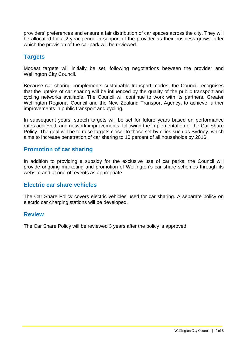providers' preferences and ensure a fair distribution of car spaces across the city. They will be allocated for a 2-year period in support of the provider as their business grows, after which the provision of the car park will be reviewed.

# **Targets**

Modest targets will initially be set, following negotiations between the provider and Wellington City Council.

Because car sharing complements sustainable transport modes, the Council recognises that the uptake of car sharing will be influenced by the quality of the public transport and cycling networks available. The Council will continue to work with its partners, Greater Wellington Regional Council and the New Zealand Transport Agency, to achieve further improvements in public transport and cycling.

In subsequent years, stretch targets will be set for future years based on performance rates achieved, and network improvements, following the implementation of the Car Share Policy. The goal will be to raise targets closer to those set by cities such as Sydney, which aims to increase penetration of car sharing to 10 percent of all households by 2016.

# **Promotion of car sharing**

In addition to providing a subsidy for the exclusive use of car parks, the Council will provide ongoing marketing and promotion of Wellington's car share schemes through its website and at one-off events as appropriate.

# **Electric car share vehicles**

The Car Share Policy covers electric vehicles used for car sharing. A separate policy on electric car charging stations will be developed.

#### **Review**

The Car Share Policy will be reviewed 3 years after the policy is approved.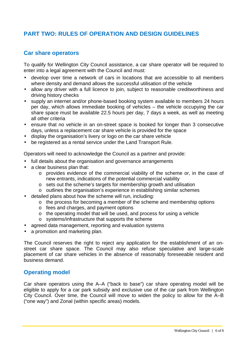# **PART TWO: RULES OF OPERATION AND DESIGN GUIDELINES**

## **Car share operators**

To qualify for Wellington City Council assistance, a car share operator will be required to enter into a legal agreement with the Council and must:

- develop over time a network of cars in locations that are accessible to all members where density and demand allows the successful utilisation of the vehicle
- allow any driver with a full licence to join, subject to reasonable creditworthiness and driving history checks
- supply an internet and/or phone-based booking system available to members 24 hours per day, which allows immediate booking of vehicles – the vehicle occupying the car share space must be available 22.5 hours per day, 7 days a week, as well as meeting all other criteria
- ensure that no vehicle in an on-street space is booked for longer than 3 consecutive days, unless a replacement car share vehicle is provided for the space
- display the organisation's livery or logo on the car share vehicle
- be registered as a rental service under the Land Transport Rule.

Operators will need to acknowledge the Council as a partner and provide:

- full details about the organisation and governance arrangements
- a clear business plan that:
	- o provides evidence of the commercial viability of the scheme or, in the case of new entrants, indications of the potential commercial viability
	- o sets out the scheme's targets for membership growth and utilisation
	- o outlines the organisation's experience in establishing similar schemes
- detailed plans about how the scheme will run, including:
	- o the process for becoming a member of the scheme and membership options
	- o fees and charges, and payment options
	- o the operating model that will be used, and process for using a vehicle
	- o systems/infrastructure that supports the scheme
- agreed data management, reporting and evaluation systems
- a promotion and marketing plan.

The Council reserves the right to reject any application for the establishment of an onstreet car share space. The Council may also refuse speculative and large-scale placement of car share vehicles in the absence of reasonably foreseeable resident and business demand.

#### **Operating model**

Car share operators using the A–A ("back to base") car share operating model will be eligible to apply for a car park subsidy and exclusive use of the car park from Wellington City Council. Over time, the Council will move to widen the policy to allow for the A–B ("one way") and Zonal (within specific areas) models.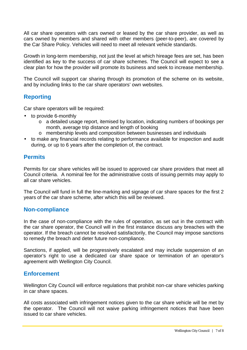All car share operators with cars owned or leased by the car share provider, as well as cars owned by members and shared with other members (peer-to-peer), are covered by the Car Share Policy. Vehicles will need to meet all relevant vehicle standards.

Growth in long-term membership, not just the level at which hireage fees are set, has been identified as key to the success of car share schemes. The Council will expect to see a clear plan for how the provider will promote its business and seek to increase membership.

The Council will support car sharing through its promotion of the scheme on its website, and by including links to the car share operators' own websites.

# **Reporting**

Car share operators will be required:

- to provide 6-monthly
	- o a detailed usage report, itemised by location, indicating numbers of bookings per month, average trip distance and length of booking
	- o membership levels and composition between businesses and individuals
- to make any financial records relating to performance available for inspection and audit during, or up to 6 years after the completion of, the contract.

#### **Permits**

Permits for car share vehicles will be issued to approved car share providers that meet all Council criteria. A nominal fee for the administrative costs of issuing permits may apply to all car share vehicles.

The Council will fund in full the line-marking and signage of car share spaces for the first 2 years of the car share scheme, after which this will be reviewed.

#### **Non-compliance**

In the case of non-compliance with the rules of operation, as set out in the contract with the car share operator, the Council will in the first instance discuss any breaches with the operator. If the breach cannot be resolved satisfactorily, the Council may impose sanctions to remedy the breach and deter future non-compliance.

Sanctions, if applied, will be progressively escalated and may include suspension of an operator's right to use a dedicated car share space or termination of an operator's agreement with Wellington City Council.

#### **Enforcement**

Wellington City Council will enforce regulations that prohibit non-car share vehicles parking in car share spaces.

All costs associated with infringement notices given to the car share vehicle will be met by the operator. The Council will not waive parking infringement notices that have been issued to car share vehicles.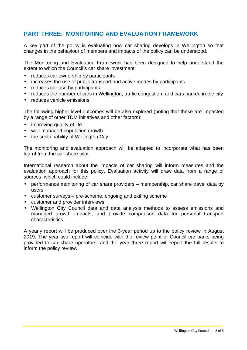# **PART THREE: MONITORING AND EVALUATION FRAMEWORK**

A key part of the policy is evaluating how car sharing develops in Wellington so that changes in the behaviour of members and impacts of the policy can be understood.

The Monitoring and Evaluation Framework has been designed to help understand the extent to which the Council's car share investment:

- reduces car ownership by participants
- increases the use of public transport and active modes by participants
- reduces car use by participants
- reduces the number of cars in Wellington, traffic congestion, and cars parked in the city
- reduces vehicle emissions.

The following higher level outcomes will be also explored (noting that these are impacted by a range of other TDM initiatives and other factors):

- improving quality of life
- well-managed population growth
- the sustainability of Wellington City.

The monitoring and evaluation approach will be adapted to incorporate what has been learnt from the car share pilot.

International research about the impacts of car sharing will inform measures and the evaluation approach for this policy. Evaluation activity will draw data from a range of sources, which could include:

- performance monitoring of car share providers membership, car share travel data by users
- customer surveys pre-scheme, ongoing and exiting scheme
- customer and provider interviews
- Wellington City Council data and data analysis methods to assess emissions and managed growth impacts, and provide comparison data for personal transport characteristics.

A yearly report will be produced over the 3-year period up to the policy review in August 2019. The year two report will coincide with the review point of Council car parks being provided to car share operators, and the year three report will report the full results to inform the policy review.